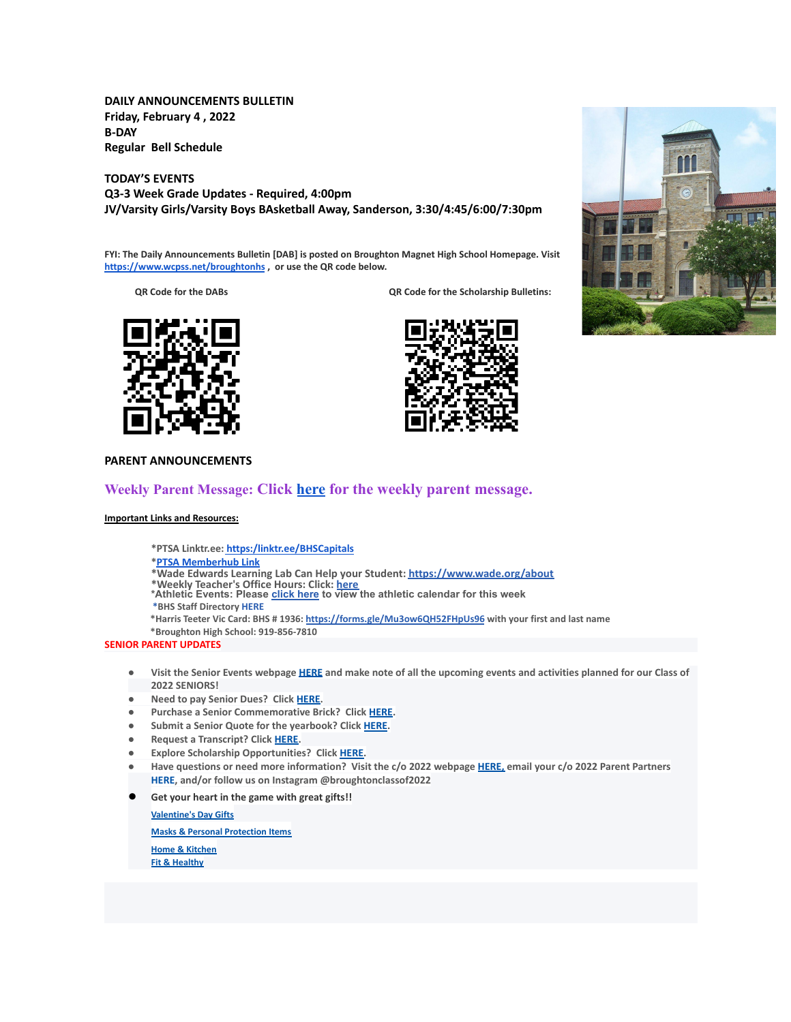**DAILY ANNOUNCEMENTS BULLETIN Friday, February 4 , 2022 B-DAY Regular Bell Schedule**

**TODAY'S EVENTS Q3-3 Week Grade Updates - Required, 4:00pm JV/Varsity Girls/Varsity Boys BAsketball Away, Sanderson, 3:30/4:45/6:00/7:30pm**

**FYI: The Daily Announcements Bulletin [DAB] is posted on Broughton Magnet High School Homepage. Visit <https://www.wcpss.net/broughtonhs> , or use the QR code below.**

**QR Code for the DABs QR Code for the Scholarship Bulletins:**







## **PARENT ANNOUNCEMENTS**

# **Weekly Parent Message: Click [here](https://docs.google.com/document/d/1bmYpowQOV9Mbx_FVj50r_6xIkwCfBBbBrm_zMGIVLXs/edit?usp=sharing) for the weekly parent message.**

## **Important Links and Resources:**

**\*PTSA Linktr.ee: [https:/linktr.ee/BHSCapitals](https://linktr.ee/BHSCapitals)**

- **\*PTSA [Memberhub](https://bhs.memberhub.com/store?category=Class%20of%202025) Link**
- **\*Wade Edwards Learning Lab Can Help your Student: <https://www.wade.org/about>**
- 
- \*Weekly Teacher's Office Hours: Click: <u>[here](http://track.spe.schoolmessenger.com/f/a/VXmQUgL3DjY_xouvtQeSYg~~/AAAAAQA~/RgRjH1ehP0QiaHR0cHM6Ly93d3cud2Nwc3MubmV0L2RvbWFpbi8xNzY0MlcHc2Nob29sbUIKYTghJD5h5cteolIYa21jY29ubmVsbEBidWRkZ3JvdXAuY29tWAQAAAAB)</u><br>\*Athletic Events: Please <u>[click](http://track.spe.schoolmessenger.com/f/a/iNb9DXg0NxAeuYTJ_UBTRg~~/AAAAAQA~/RgRjH1ehP0RFaHR0cHM6Ly93d3cud2FrZWNvdW50eWF0aGxldGljcy5jb20vcGFnZS9zaG93LzE5NTI5MzQtbWFzdGVyLWNhbGVuZGFyVwdzY2hvb2xtQgphOCEkPmHly16iUhhrbWNjb25uZWxsQGJ1ZGRncm91cC5jb21YBAAAAAE~) here</u> to view the athletic calendar for this week
- **\*BHS Staff Directory [HERE](https://www.wcpss.net/Page/45215)**
- **\*Harris Teeter Vic Card: BHS # 1936: <https://forms.gle/Mu3ow6QH52FHpUs96> with your first and last name**
- **\*Broughton High School: 919-856-7810**

## **SENIOR PARENT UPDATES**

- Visit the Senior Events webpage [HERE](https://m7scym5f.r.us-east-1.awstrack.me/L0/https:%2F%2Fwww.wcpss.net%2FPage%2F35370/1/0100017e4478ab83-fd134d52-021b-4d63-891c-31465321890c-000000/l2HEysyraEkyUxmN8Zb7rr0KEog=252) and make note of all the upcoming events and activities planned for our Class of **2022 SENIORS!**
- **● Need to pay Senior Dues? Click [HERE.](https://m7scym5f.r.us-east-1.awstrack.me/L0/https:%2F%2Fwww.wcpss.net%2FPage%2F50324/1/0100017e4478ab83-fd134d52-021b-4d63-891c-31465321890c-000000/ClmJnMcZl7w6dHljZfUUpO1RgFY=252)**
- **● Purchase a Senior Commemorative Brick? Click [HERE](https://m7scym5f.r.us-east-1.awstrack.me/L0/https:%2F%2Fwww.wcpss.net%2FPage%2F50325/1/0100017e4478ab83-fd134d52-021b-4d63-891c-31465321890c-000000/TOIvngfsD6BboqDTmL5ZVjjDlM4=252).**
- **● Submit a Senior Quote for the yearbook? Click [HERE](https://m7scym5f.r.us-east-1.awstrack.me/L0/https:%2F%2Fwww.wcpss.net%2FPage%2F50693/1/0100017e4478ab83-fd134d52-021b-4d63-891c-31465321890c-000000/x07d38IITX0jt5c365wfr4AJB_s=252).**
- **● Request a Transcript? Click [HERE](https://m7scym5f.r.us-east-1.awstrack.me/L0/https:%2F%2Fwww.wcpss.net%2FPage%2F33378/1/0100017e4478ab83-fd134d52-021b-4d63-891c-31465321890c-000000/wkbUPzHaF79-OclNJOg-dOdn-Xk=252).**
- **● Explore Scholarship Opportunities? Click [HERE.](https://m7scym5f.r.us-east-1.awstrack.me/L0/https:%2F%2Fwww.wcpss.net%2FPage%2F50317/1/0100017e4478ab83-fd134d52-021b-4d63-891c-31465321890c-000000/vl1ViXxu5uYo9BoHks452rI6848=252)**
- Have questions or need more information? Visit the c/o 2022 webpage [HERE,](https://m7scym5f.r.us-east-1.awstrack.me/L0/https:%2F%2Fbhs.memberhub.com%2Fw%2F2022/1/0100017e4478ab83-fd134d52-021b-4d63-891c-31465321890c-000000/oTZaKWxhWWOo0o48Mf6887IPe6k=252) email your c/o 2022 Parent Partners **HERE, and/or follow us on Instagram @broughtonclassof2022**
- **Get your heart in the game with great gifts!!**

**[Valentine's Day Gifts](https://m7scym5f.r.us-east-1.awstrack.me/L0/https:%2F%2Fbhs.memberhub.com%2Fstore%2Fg%2Fholiday-gift-guide/1/0100017ebc735f11-093445ec-a3d0-4c4a-9ba5-99c2d8674d11-000000/bF--X-692nPUNmcGAHDLmbdZFHA=256) [Masks & Personal Protection Items](https://m7scym5f.r.us-east-1.awstrack.me/L0/https:%2F%2Fbhs.memberhub.com%2Fstore%2Fg%2Fpersonal-protection-items/1/0100017ebc735f11-093445ec-a3d0-4c4a-9ba5-99c2d8674d11-000000/-fU0MFGtLvtt1klZpnHycjU6x0I=256) [Home & Kitchen](https://m7scym5f.r.us-east-1.awstrack.me/L0/https:%2F%2Fbhs.memberhub.com%2Fstore%2Fg%2Fhome/1/0100017ebc735f11-093445ec-a3d0-4c4a-9ba5-99c2d8674d11-000000/ekvR4iRs_hJSWhJI4lVpvY3ZIdU=256) [Fit & Healthy](https://m7scym5f.r.us-east-1.awstrack.me/L0/https:%2F%2Fbhs.memberhub.com%2Fstore%2Fg%2Ffit-and-healthy/1/0100017ebc735f11-093445ec-a3d0-4c4a-9ba5-99c2d8674d11-000000/2FDxeZVgqA3q1HRXSNJDpodgT8U=256)**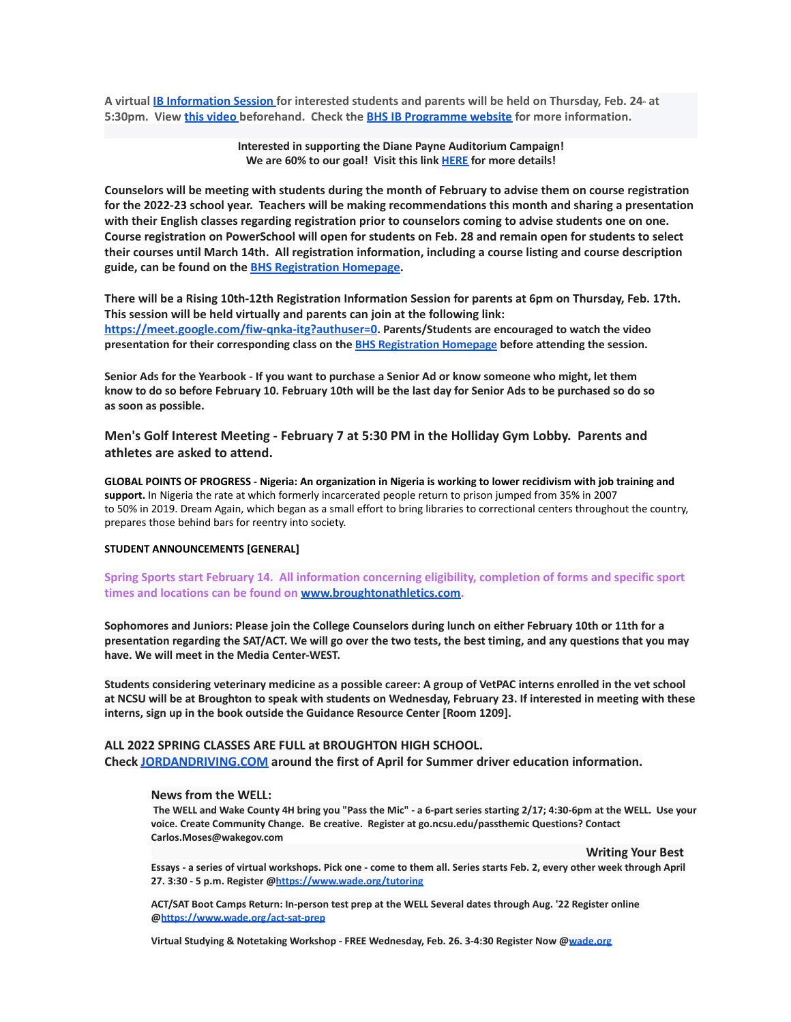A virtual IB [Information](https://meet.google.com/dso-acnk-tbm) Session for interested students and parents will be held on Thursday, Feb. 24 at **5:30pm. View this [video](https://www.youtube.com/watch?v=7ERC6S3zKns) beforehand. Check the BHS IB [Programme](https://sites.google.com/wcpss.net/broughton-ib/welcome) website for more information.**

> **Interested in supporting the Diane Payne Auditorium Campaign! We are 60% to our goal! Visit this link [HERE](https://m7scym5f.r.us-east-1.awstrack.me/L0/https:%2F%2Fbhsboosters.memberhub.gives%2Fauditorium%2Fcampaign%2Fdetails/1/0100017ea6f46b6a-1badb6c9-3132-4a52-a058-a0648093ce59-000000/wb9pLkOlbBx6_LCzOfrZ4-8JYUk=255) for more details!**

Counselors will be meeting with students during the month of February to advise them on course registration **for the 2022-23 school year. Teachers will be making recommendations this month and sharing a presentation with their English classes regarding registration prior to counselors coming to advise students one on one.** Course registration on PowerSchool will open for students on Feb. 28 and remain open for students to select **their courses until March 14th. All registration information, including a course listing and course description guide, can be found on the BHS [Registration](https://broughtonstudentservices.weebly.com/rising-10th-12th-course-registration.html) Homepage.**

There will be a Rising 10th-12th Registration Information Session for parents at 6pm on Thursday, Feb. 17th. **This session will be held virtually and parents can join at the following link: <https://meet.google.com/fiw-qnka-itg?authuser=0>. Parents/Students are encouraged to watch the video presentation for their corresponding class on the BHS [Registration](https://broughtonstudentservices.weebly.com/rising-10th-12th-course-registration.html) Homepage before attending the session.**

Senior Ads for the Yearbook - If you want to purchase a Senior Ad or know someone who might, let them know to do so before February 10. February 10th will be the last day for Senior Ads to be purchased so do so **as soon as possible.**

**Men's Golf Interest Meeting - February 7 at 5:30 PM in the Holliday Gym Lobby. Parents and athletes are asked to attend.**

**GLOBAL POINTS OF PROGRESS - Nigeria: An organization in Nigeria is working to lower recidivism with job training and support.** In Nigeria the rate at which formerly incarcerated people return to prison jumped from 35% in 2007 to 50% in 2019. Dream Again, which began as a small effort to bring libraries to correctional centers throughout the country, prepares those behind bars for reentry into society.

#### **STUDENT ANNOUNCEMENTS [GENERAL]**

**Spring Sports start February 14. All information concerning eligibility, completion of forms and specific sport times and locations can be found on [www.broughtonathletics.com.](http://www.broughtonathletics.com/)**

Sophomores and Juniors: Please join the College Counselors during lunch on either February 10th or 11th for a presentation regarding the SAT/ACT. We will go over the two tests, the best timing, and any questions that you may **have. We will meet in the Media Center-WEST.**

Students considering veterinary medicine as a possible career: A group of VetPAC interns enrolled in the vet school at NCSU will be at Broughton to speak with students on Wednesday, February 23. If interested in meeting with these **interns, sign up in the book outside the Guidance Resource Center [Room 1209].**

# **ALL 2022 SPRING CLASSES ARE FULL at BROUGHTON HIGH SCHOOL. Check [JORDANDRIVING.COM](http://jordandriving.com/) around the first of April for Summer driver education information.**

## **News from the WELL:**

The WELL and Wake County 4H bring you "Pass the Mic" - a 6-part series starting 2/17; 4:30-6pm at the WELL. Use your **voice. Create Community Change. Be creative. Register at go.ncsu.edu/passthemic Questions? Contact Carlos.Moses@wakegov.com**

**Writing Your Best**

Essays - a series of virtual workshops. Pick one - come to them all. Series starts Feb. 2, every other week through April **27. 3:30 - 5 p.m. Register @<https://www.wade.org/tutoring>**

**ACT/SAT Boot Camps Return: In-person test prep at the WELL Several dates through Aug. '22 Register online @<https://www.wade.org/act-sat-prep>**

**Virtual Studying & Notetaking Workshop - FREE Wednesday, Feb. 26. 3-4:30 Register Now @[wade.org](http://wade.org/)**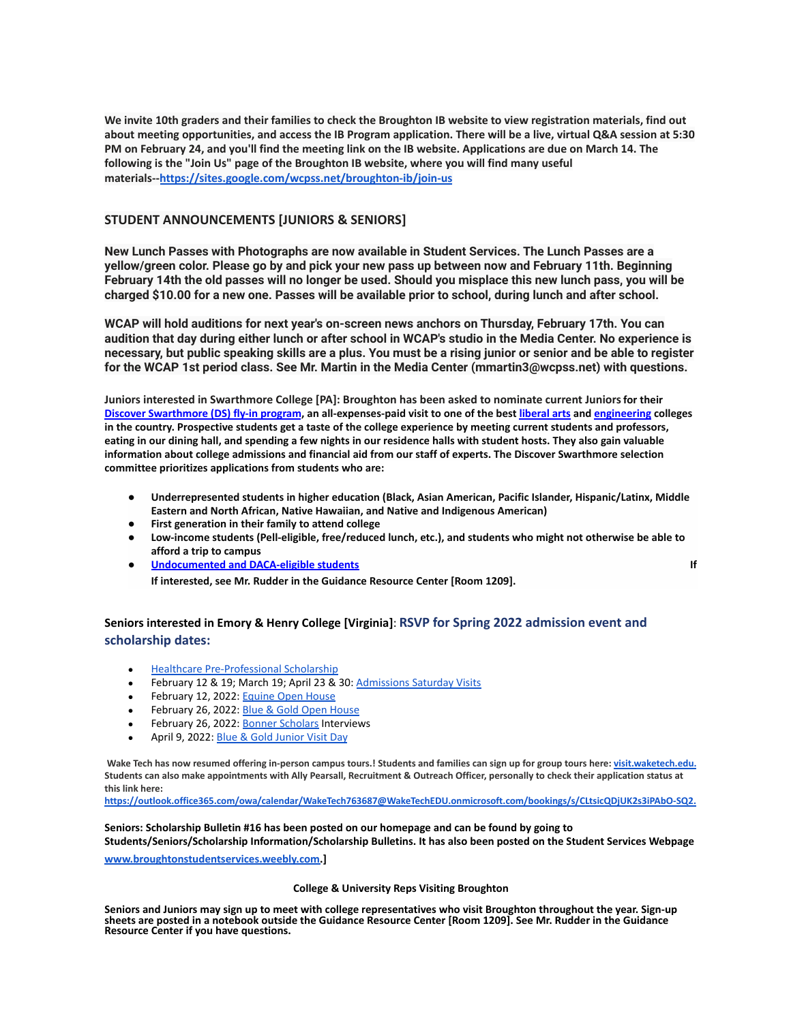We invite 10th graders and their families to check the Broughton IB website to view registration materials, find out about meeting opportunities, and access the IB Program application. There will be a live, virtual Q&A session at 5:30 PM on February 24, and you'll find the meeting link on the IB website. Applications are due on March 14. The **following is the "Join Us" page of the Broughton IB website, where you will find many useful materials--<https://sites.google.com/wcpss.net/broughton-ib/join-us>**

# **STUDENT ANNOUNCEMENTS [JUNIORS & SENIORS]**

**New Lunch Passes with Photographs are now available in Student Services. The Lunch Passes are a yellow/green color. Please go by and pick your new pass up between now and February 11th. Beginning** February 14th the old passes will no longer be used. Should you misplace this new lunch pass, you will be charged \$10.00 for a new one. Passes will be available prior to school, during lunch and after school.

**WCAP will hold auditions for next year's on-screen news anchors on Thursday, February 17th. You can** audition that day during either lunch or after school in WCAP's studio in the Media Center. No experience is necessary, but public speaking skills are a plus. You must be a rising junior or senior and be able to register **for the WCAP 1st period class. See Mr. Martin in the Media Center (mmartin3@wcpss.net) with questions.**

**Juniors interested in Swarthmore College [PA]: Broughton has been asked to nominate current Juniorsfor their [Discover Swarthmore \(DS\) fly-in program](https://mx.technolutions.net/ss/c/gsby7xed_Q9kJKoUKuDGdJnnAby8TVdlRXdkvT9pfb6aO_mnNL6F7reM4g-x9VdMYEi01V_CGdqsghyOMpo7JaZ2zfslCoCw1cmOS37JZjw/3j7/1xhoSsepTPqDNogTlkafZw/h1/kU1LIvr6QQMhwQ7gVn6gX5tEp4fKFp3uNbBELUc_RPw), an all-expenses-paid visit to one of the best [liberal arts](https://mx.technolutions.net/ss/c/gsby7xed_Q9kJKoUKuDGdJnnAby8TVdlRXdkvT9pfb5RjRF7gvkMv4GJX8zrkL2nddZ1iST2IhdT39H9THCTgpBOGQMmWD28o-huxbLm8vk/3j7/1xhoSsepTPqDNogTlkafZw/h2/n5bQSLTniW07c0sGp0xfTAwy0EqeiTCSBNuq1sH92DU) and [engineering](https://mx.technolutions.net/ss/c/gsby7xed_Q9kJKoUKuDGdJnnAby8TVdlRXdkvT9pfb5drK4uQuzrZoTouzETcwAr/3j7/1xhoSsepTPqDNogTlkafZw/h3/LFnW1VYv72kR27n2X59onkDIqFRNq_fyNUxY5a8pdCI) colleges in the country. Prospective students get a taste of the college experience by meeting current students and professors, eating in our dining hall, and spending a few nights in our residence halls with student hosts. They also gain valuable information about college admissions and financial aid from our staff of experts. The Discover Swarthmore selection committee prioritizes applications from students who are:**

- **● Underrepresented students in higher education (Black, Asian American, Pacific Islander, Hispanic/Latinx, Middle Eastern and North African, Native Hawaiian, and Native and Indigenous American)**
- **● First generation in their family to attend college**
- **● Low-income students (Pell-eligible, free/reduced lunch, etc.), and students who might not otherwise be able to afford a trip to campus**
- **● [Undocumented and DACA-eligible students](https://mx.technolutions.net/ss/c/gsby7xed_Q9kJKoUKuDGdJnnAby8TVdlRXdkvT9pfb6aO_mnNL6F7reM4g-x9VdM7qMYdauCvA0UuBFP3UWgG5YOPtvuC_hOkKVf6fk8FbQ/3j7/1xhoSsepTPqDNogTlkafZw/h5/n_EIk5KCo_GvSRvlDg8FD2XPBzjZ2XLyBy-O8hXBMhQ) If If interested, see Mr. Rudder in the Guidance Resource Center [Room 1209].**

# **Seniors interested in Emory & Henry College [Virginia]**: **RSVP for Spring 2022 admission event and scholarship dates:**

- **[Healthcare Pre-Professional Scholarship](https://api.targetx.com/email-interact/redirect?id=MTEwMDAwOTQyIDcwMTV3MDAwMDAxSXB4OEFBQyBhMTM1dzAwMDAwVmpJZ1RBQVYgMDAzNXcwMDAwM1R2ZmNEQUFS&link=https%3A//www.ehc.edu/academics/pre-health/resources-opportunities/scholarships/&tlink=aHR0cHM6Ly93d3cuZWhjLmVkdS9hY2FkZW1pY3MvcHJlLWhlYWx0aC9yZXNvdXJjZXMtb3Bwb3J0dW5pdGllcy9zY2hvbGFyc2hpcHMv)**
- February 12 & 19; March 19; April 23 & 30: Admissions [Saturday Visits](https://api.targetx.com/email-interact/redirect?id=MTEwMDAwOTQyIDcwMTV3MDAwMDAxSXB4OEFBQyBhMTM1dzAwMDAwVmpJZ1RBQVYgMDAzNXcwMDAwM1R2ZmNEQUFS&link=https%3A//eh.secure.force.com/events/targetX_eventsb__events%23/esr%3Feid%3Da1O5w00000BxPFXEA3&tlink=aHR0cHM6Ly9laC5zZWN1cmUuZm9yY2UuY29tL2V2ZW50cy90YXJnZXRYX2V2ZW50c2JfX2V2ZW50cyMvZXNyP2VpZD1hMU81dzAwMDAwQnhQRlhFQTM%3D)
- February 12, 2022: [Equine Open House](https://api.targetx.com/email-interact/redirect?id=MTEwMDAwOTQyIDcwMTV3MDAwMDAxSXB4OEFBQyBhMTM1dzAwMDAwVmpJZ1RBQVYgMDAzNXcwMDAwM1R2ZmNEQUFS&link=https%3A//www.ehc.edu/live/events/46474-blue-gold-equine-open-house&tlink=aHR0cHM6Ly93d3cuZWhjLmVkdS9saXZlL2V2ZW50cy80NjQ3NC1ibHVlLWdvbGQtZXF1aW5lLW9wZW4taG91c2U%3D)
- February 26, 2022: [Blue & Gold Open House](https://api.targetx.com/email-interact/redirect?id=MTEwMDAwOTQyIDcwMTV3MDAwMDAxSXB4OEFBQyBhMTM1dzAwMDAwVmpJZ1RBQVYgMDAzNXcwMDAwM1R2ZmNEQUFS&link=https%3A//www.ehc.edu/live/events/44700-blue-gold-open-house&tlink=aHR0cHM6Ly93d3cuZWhjLmVkdS9saXZlL2V2ZW50cy80NDcwMC1ibHVlLWdvbGQtb3Blbi1ob3VzZQ%3D%3D)
- February 26, 2022: [Bonner Scholars](https://api.targetx.com/email-interact/redirect?id=MTEwMDAwOTQyIDcwMTV3MDAwMDAxSXB4OEFBQyBhMTM1dzAwMDAwVmpJZ1RBQVYgMDAzNXcwMDAwM1R2ZmNEQUFS&link=https%3A//www.ehc.edu/civic-engagement/scholarships/&tlink=aHR0cHM6Ly93d3cuZWhjLmVkdS9jaXZpYy1lbmdhZ2VtZW50L3NjaG9sYXJzaGlwcy8%3D) Interviews
- April 9, 2022: [Blue & Gold Junior Visit Day](https://api.targetx.com/email-interact/redirect?id=MTEwMDAwOTQyIDcwMTV3MDAwMDAxSXB4OEFBQyBhMTM1dzAwMDAwVmpJZ1RBQVYgMDAzNXcwMDAwM1R2ZmNEQUFS&link=https%3A//www.ehc.edu/live/events/44701-blue-gold-junior-visit-day&tlink=aHR0cHM6Ly93d3cuZWhjLmVkdS9saXZlL2V2ZW50cy80NDcwMS1ibHVlLWdvbGQtanVuaW9yLXZpc2l0LWRheQ%3D%3D)

Wake Tech has now resumed offering in-person campus tours.! Students and families can sign up for group tours here: [visit.waketech.edu](https://www.waketech.edu/recruiting-and-outreach/visit-wake-tech). Students can also make appointments with Ally Pearsall, Recruitment & Outreach Officer, personally to check their application status at **this link here:**

**[https://outlook.office365.com/owa/calendar/WakeTech763687@WakeTechEDU.onmicrosoft.com/bookings/s/CLtsicQDjUK2s3iPAbO-SQ2.](https://outlook.office365.com/owa/calendar/WakeTech763687@WakeTechEDU.onmicrosoft.com/bookings/s/CLtsicQDjUK2s3iPAbO-SQ2)**

**Seniors: Scholarship Bulletin #16 has been posted on our homepage and can be found by going to Students/Seniors/Scholarship Information/Scholarship Bulletins. It has also been posted on the Student Services Webpage**

**[www.broughtonstudentservices.weebly.com.](http://www.broughtonstudentservices.weebly.com)]**

### **College & University Reps Visiting Broughton**

**Seniors and Juniors may sign up to meet with college representatives who visit Broughton throughout the year. Sign-up sheets are posted in a notebook outside the Guidance Resource Center [Room 1209]. See Mr. Rudder in the Guidance Resource Center if you have questions.**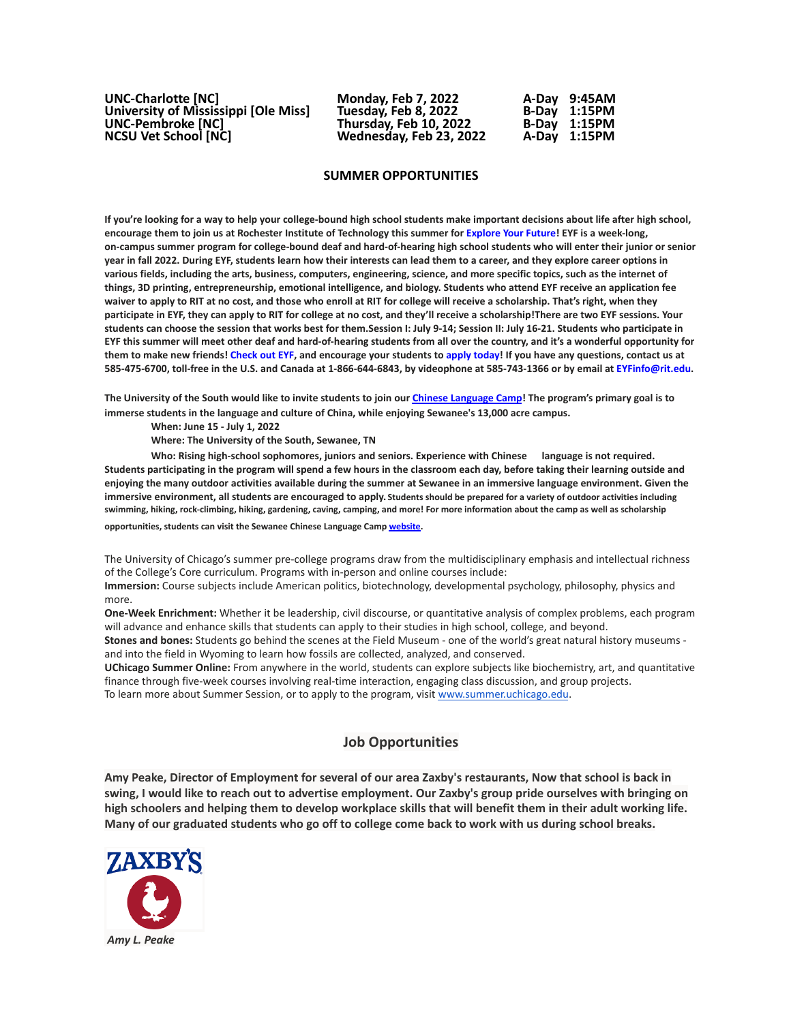| <b>UNC-Charlotte [NC]</b>            | <b>Monday, Feb 7, 2022</b> | A-Dav 9:45AM |
|--------------------------------------|----------------------------|--------------|
| University of Mississippi [Ole Miss] | Tuesday, Feb 8, 2022       | B-Day 1:15PM |
| <b>UNC-Pembroke [NC]</b>             | Thursday, Feb 10, 2022     | B-Day 1:15PM |
| <b>NCSU Vet School [NC]</b>          | Wednesday, Feb 23, 2022    | A-Day 1:15PM |

### **SUMMER OPPORTUNITIES**

If you're looking for a way to help your college-bound high school students make important decisions about life after high school, encourage them to join us at Rochester Institute of Technology this summer for [Explore](https://mx.technolutions.net/ss/c/gsby7xed_Q9kJKoUKuDGdB9R9sive_ZsM1Qb_nhkgjA08w4AqgRoJb0vlLFSSjZT/3j6/cfOu9R3lR8u3xTRhpngdYQ/h2/xzdGfzy3I2uSoAWXNd4vWkN1gV7yfnaiLQn6UQatgnc) Your Future! EYF is a week-long, on-campus summer program for college-bound deaf and hard-of-hearing high school students who will enter their junior or senior year in fall 2022. During EYF, students learn how their interests can lead them to a career, and they explore career options in various fields, including the arts, business, computers, engineering, science, and more specific topics, such as the internet of things, 3D printing, entrepreneurship, emotional intelligence, and biology. Students who attend EYF receive an application fee waiver to apply to RIT at no cost, and those who enroll at RIT for college will receive a scholarship. That's right, when they participate in EYF, they can apply to RIT for college at no cost, and they'll receive a scholarship! There are two EYF sessions. Your students can choose the session that works best for them.Session I: July 9-14; Session II: July 16-21. Students who participate in EYF this summer will meet other deaf and hard-of-hearing students from all over the country, and it's a wonderful opportunity for them to make new friends! [Check](https://mx.technolutions.net/ss/c/gsby7xed_Q9kJKoUKuDGdB9R9sive_ZsM1Qb_nhkgjA08w4AqgRoJb0vlLFSSjZT/3j6/cfOu9R3lR8u3xTRhpngdYQ/h3/EJAJ5IZYnhy_5EoPb20FqK_vFekSoBF5wdP5m4I0v8E) out EYF, and encourage your students to apply [today!](https://mx.technolutions.net/ss/c/VpDhrCrvzjOrNk6AZ3TbHsDAoOWeZg67sWX3pIhEAGxCWhE-b5_ccZhgCUBu0qQbXV3r3Sp2r3bvI44-_FnkWzKY8PPT-NIXylVlj1p1QBc/3j6/cfOu9R3lR8u3xTRhpngdYQ/h4/z_F1GbKvjAXrSXS3vh6GZk3C0_JRjjBhcsu_861EJVE) If you have any questions, contact us at 585-475-6700, toll-free in the U.S. and Canada at 1-866-644-6843, by videophone at 585-743-1366 or by email at EYFinfo@rit.edu.

The University of the South would like to invite students to join our Chinese [Language](https://mx.technolutions.net/ss/c/eakQ-C8DCmUrd8y7yBWDFiYAOUoJQ4pz7MfbEBpip6l0y_Hm_m-q4S1NAhKySW0l0l52Av-XFInBcX_HbKNhaFaTuY25zEq03f7H2jjkYbiZerVnvT_jJBJvBnD8L-82oFcjCA4feCp5rOrmzPCcig/3h1/Zb0AzY0dSO6ybsQoCzalvA/h1/a-eaRv0bEo5dxrOjmNABke9N9q3IKNCmv7tp3yn1eRg) Camp! The program's primary goal is to **immerse students in the language and culture of China, while enjoying Sewanee's 13,000 acre campus.**

**When: June 15 - July 1, 2022**

**Where: The University of the South, Sewanee, TN**

**Who: Rising high-school sophomores, juniors and seniors. Experience with Chinese language is not required.** Students participating in the program will spend a few hours in the classroom each day, before taking their learning outside and enjoying the many outdoor activities available during the summer at Sewanee in an immersive language environment. Given the **immersive environment, all students are encouraged to apply. Students should be prepared for a variety of outdoor activities including swimming, hiking, rock-climbing, hiking, gardening, caving, camping, and more! For more information about the camp as well as scholarship**

**opportunities, students can visit the Sewanee Chinese Language Camp [website.](https://mx.technolutions.net/ss/c/eakQ-C8DCmUrd8y7yBWDFiYAOUoJQ4pz7MfbEBpip6l0y_Hm_m-q4S1NAhKySW0l0l52Av-XFInBcX_HbKNhaFaTuY25zEq03f7H2jjkYbiZerVnvT_jJBJvBnD8L-82oFcjCA4feCp5rOrmzPCcig/3h1/Zb0AzY0dSO6ybsQoCzalvA/h2/75iusWoe6oX7KGnwrl--J5PGQK1G9zr9iO3WkMg5UHE)**

The University of Chicago's summer pre-college programs draw from the multidisciplinary emphasis and intellectual richness of the College's Core curriculum. Programs with in-person and online courses include:

**Immersion:** Course subjects include American politics, biotechnology, developmental psychology, philosophy, physics and more.

**One-Week Enrichment:** Whether it be leadership, civil discourse, or quantitative analysis of complex problems, each program will advance and enhance skills that students can apply to their studies in high school, college, and beyond.

**Stones and bones:** Students go behind the scenes at the Field Museum - one of the world's great natural history museums and into the field in Wyoming to learn how fossils are collected, analyzed, and conserved.

**UChicago Summer Online:** From anywhere in the world, students can explore subjects like biochemistry, art, and quantitative finance through five-week courses involving real-time interaction, engaging class discussion, and group projects. To learn more about Summer Session, or to apply to the program, visit [www.summer.uchicago.edu](http://www.summer.uchicago.edu).

# **Job Opportunities**

Amy Peake, Director of Employment for several of our area Zaxby's restaurants, Now that school is back in swing, I would like to reach out to advertise employment. Our Zaxby's group pride ourselves with bringing on high schoolers and helping them to develop workplace skills that will benefit them in their adult working life. Many of our graduated students who go off to college come back to work with us during school breaks.

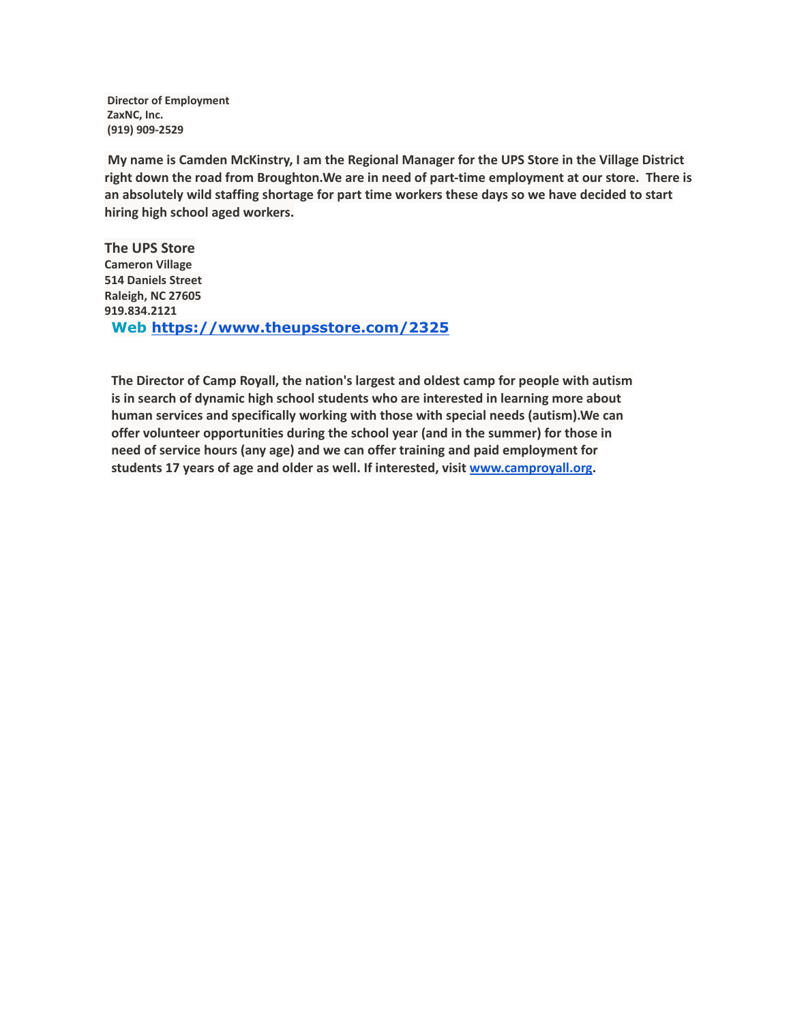**Director of Employment ZaxNC, Inc. (919) 909-2529**

**My name is Camden McKinstry, I am the Regional Manager for the UPS Store in the Village District right down the road from Broughton.We are in need of part-time employment at our store. There is an absolutely wild staffing shortage for part time workers these days so we have decided to start hiring high school aged workers.**

**The UPS Store Cameron Village 514 Daniels Street Raleigh, NC 27605 919.834.2121 Web <https://www.theupsstore.com/2325>**

**The Director of Camp Royall, the nation's largest and oldest camp for people with autism is in search of dynamic high school students who are interested in learning more about human services and specifically working with those with special needs (autism).We can offer volunteer opportunities during the school year (and in the summer) for those in need of service hours (any age) and we can offer training and paid employment for students 17 years of age and older as well. If interested, visit [www.camproyall.org.](http://www.camproyall.org)**